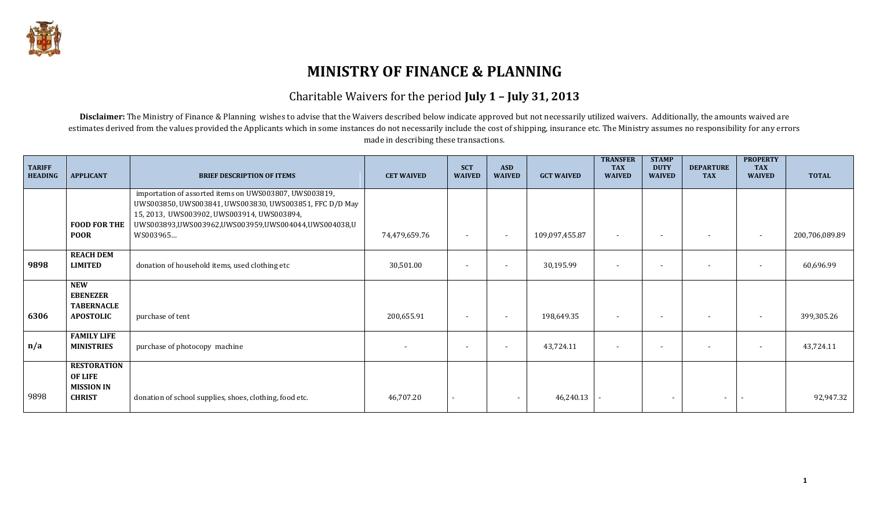

# **MINISTRY OF FINANCE & PLANNING**

#### Charitable Waivers for the period **July 1 – July 31, 2013**

Disclaimer: The Ministry of Finance & Planning wishes to advise that the Waivers described below indicate approved but not necessarily utilized waivers. Additionally, the amounts waived are estimates derived from the values provided the Applicants which in some instances do not necessarily include the cost of shipping, insurance etc. The Ministry assumes no responsibility for any errors made in describing these transactions.

| <b>TARIFF</b><br><b>HEADING</b> | <b>APPLICANT</b>                                                       | <b>BRIEF DESCRIPTION OF ITEMS</b>                                                                                                                                                                                                  | <b>CET WAIVED</b> | <b>SCT</b><br><b>WAIVED</b> | <b>ASD</b><br><b>WAIVED</b> | <b>GCT WAIVED</b> | <b>TRANSFER</b><br><b>TAX</b><br><b>WAIVED</b> | <b>STAMP</b><br><b>DUTY</b><br><b>WAIVED</b> | <b>DEPARTURE</b><br><b>TAX</b> | <b>PROPERTY</b><br><b>TAX</b><br><b>WAIVED</b> | <b>TOTAL</b>   |
|---------------------------------|------------------------------------------------------------------------|------------------------------------------------------------------------------------------------------------------------------------------------------------------------------------------------------------------------------------|-------------------|-----------------------------|-----------------------------|-------------------|------------------------------------------------|----------------------------------------------|--------------------------------|------------------------------------------------|----------------|
|                                 | <b>FOOD FOR THE</b><br><b>POOR</b>                                     | importation of assorted items on UWS003807, UWS003819,<br>UWS003850, UWS003841, UWS003830, UWS003851, FFC D/D May<br>15, 2013, UWS003902, UWS003914, UWS003894,<br>UWS003893,UWS003962,UWS003959,UWS004044,UWS004038,U<br>WS003965 | 74,479,659.76     | $\overline{\phantom{0}}$    | $\sim$                      | 109,097,455.87    | $\overline{\phantom{a}}$                       | $\overline{\phantom{a}}$                     |                                | $\overline{\phantom{a}}$                       | 200,706,089.89 |
| 9898                            | <b>REACH DEM</b><br><b>LIMITED</b>                                     | donation of household items, used clothing etc                                                                                                                                                                                     | 30,501.00         |                             | $\overline{\phantom{a}}$    | 30,195.99         | $\overline{\phantom{a}}$                       | $\overline{\phantom{0}}$                     |                                | $\overline{\phantom{a}}$                       | 60,696.99      |
| 6306                            | <b>NEW</b><br><b>EBENEZER</b><br><b>TABERNACLE</b><br><b>APOSTOLIC</b> | purchase of tent                                                                                                                                                                                                                   | 200,655.91        |                             | $\overline{\phantom{a}}$    | 198,649.35        | $\overline{\phantom{a}}$                       |                                              |                                |                                                | 399,305.26     |
| n/a                             | <b>FAMILY LIFE</b><br><b>MINISTRIES</b>                                | purchase of photocopy machine                                                                                                                                                                                                      |                   |                             | $\overline{\phantom{a}}$    | 43,724.11         | $\overline{\phantom{a}}$                       | $\sim$                                       |                                |                                                | 43,724.11      |
| 9898                            | <b>RESTORATION</b><br>OF LIFE<br><b>MISSION IN</b><br><b>CHRIST</b>    | donation of school supplies, shoes, clothing, food etc.                                                                                                                                                                            | 46,707.20         |                             | $\blacksquare$              | 46,240.13         |                                                | $\blacksquare$                               |                                |                                                | 92,947.32      |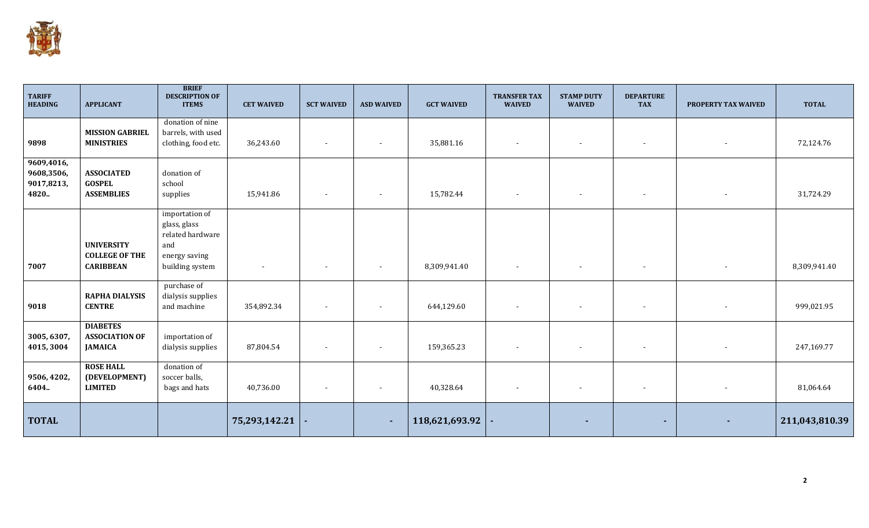

| <b>TARIFF</b><br><b>HEADING</b>                 | <b>APPLICANT</b>                                               | <b>BRIEF</b><br><b>DESCRIPTION OF</b><br><b>ITEMS</b>                                         | <b>CET WAIVED</b> | <b>SCT WAIVED</b>        | <b>ASD WAIVED</b>        | <b>GCT WAIVED</b> | <b>TRANSFER TAX</b><br><b>WAIVED</b> | <b>STAMP DUTY</b><br><b>WAIVED</b> | <b>DEPARTURE</b><br><b>TAX</b> | PROPERTY TAX WAIVED      | <b>TOTAL</b>   |
|-------------------------------------------------|----------------------------------------------------------------|-----------------------------------------------------------------------------------------------|-------------------|--------------------------|--------------------------|-------------------|--------------------------------------|------------------------------------|--------------------------------|--------------------------|----------------|
| 9898                                            | <b>MISSION GABRIEL</b><br><b>MINISTRIES</b>                    | donation of nine<br>barrels, with used<br>clothing, food etc.                                 | 36,243.60         | $\sim$                   | $\overline{\phantom{a}}$ | 35,881.16         | $\sim$                               | $\overline{\phantom{a}}$           | $\overline{\phantom{a}}$       | $\overline{\phantom{a}}$ | 72,124.76      |
| 9609,4016,<br>9608,3506,<br>9017,8213,<br>4820. | <b>ASSOCIATED</b><br><b>GOSPEL</b><br><b>ASSEMBLIES</b>        | donation of<br>school<br>supplies                                                             | 15,941.86         | $\overline{\phantom{a}}$ | $\overline{\phantom{a}}$ | 15,782.44         | $\sim$                               | $\blacksquare$                     | $\overline{\phantom{a}}$       | $\overline{\phantom{a}}$ | 31,724.29      |
| 7007                                            | <b>UNIVERSITY</b><br><b>COLLEGE OF THE</b><br><b>CARIBBEAN</b> | importation of<br>glass, glass<br>related hardware<br>and<br>energy saving<br>building system |                   |                          | $\overline{\phantom{a}}$ | 8,309,941.40      | $\overline{\phantom{a}}$             |                                    |                                |                          | 8,309,941.40   |
| 9018                                            | <b>RAPHA DIALYSIS</b><br><b>CENTRE</b>                         | purchase of<br>dialysis supplies<br>and machine                                               | 354,892.34        |                          | $\overline{\phantom{a}}$ | 644,129.60        | $\overline{\phantom{a}}$             |                                    |                                |                          | 999,021.95     |
| 3005, 6307,<br>4015, 3004                       | <b>DIABETES</b><br><b>ASSOCIATION OF</b><br><b>JAMAICA</b>     | importation of<br>dialysis supplies                                                           | 87,804.54         |                          | $\overline{\phantom{a}}$ | 159,365.23        | $\overline{\phantom{a}}$             |                                    |                                |                          | 247,169.77     |
| 9506, 4202,<br>6404.                            | <b>ROSE HALL</b><br>(DEVELOPMENT)<br><b>LIMITED</b>            | donation of<br>soccer balls,<br>bags and hats                                                 | 40,736.00         |                          | $\overline{\phantom{a}}$ | 40,328.64         | $\overline{\phantom{a}}$             | $\overline{\phantom{a}}$           |                                |                          | 81,064.64      |
| <b>TOTAL</b>                                    |                                                                |                                                                                               | 75,293,142.21     |                          | $\sim$                   | 118,621,693.92    |                                      | ٠                                  | $\sim$                         |                          | 211,043,810.39 |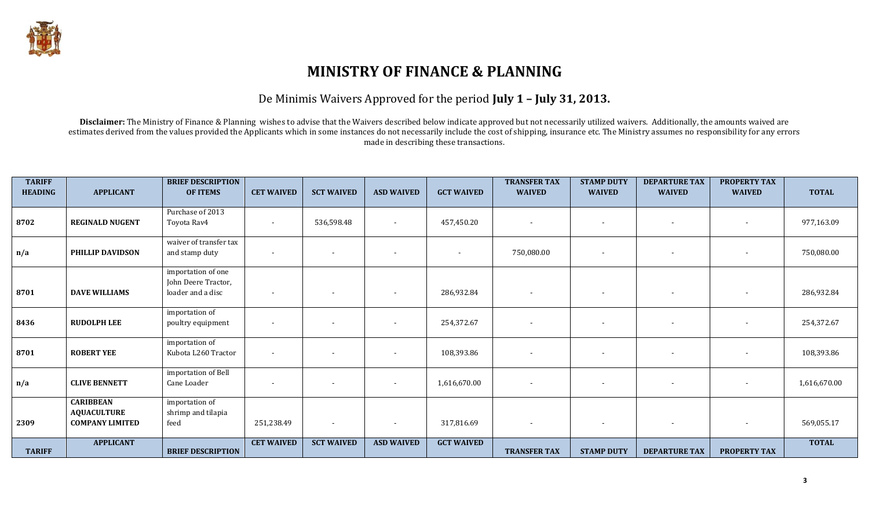

# **MINISTRY OF FINANCE & PLANNING**

#### De Minimis Waivers Approved for the period **July 1 – July 31, 2013.**

Disclaimer: The Ministry of Finance & Planning wishes to advise that the Waivers described below indicate approved but not necessarily utilized waivers. Additionally, the amounts waived are estimates derived from the values provided the Applicants which in some instances do not necessarily include the cost of shipping, insurance etc. The Ministry assumes no responsibility for any errors made in describing these transactions.

| <b>TARIFF</b><br><b>HEADING</b> | <b>APPLICANT</b>                                                 | <b>BRIEF DESCRIPTION</b><br><b>OF ITEMS</b>                    | <b>CET WAIVED</b>        | <b>SCT WAIVED</b>        | <b>ASD WAIVED</b>        | <b>GCT WAIVED</b>        | <b>TRANSFER TAX</b><br><b>WAIVED</b> | <b>STAMP DUTY</b><br><b>WAIVED</b> | <b>DEPARTURE TAX</b><br><b>WAIVED</b> | <b>PROPERTY TAX</b><br><b>WAIVED</b> | <b>TOTAL</b> |
|---------------------------------|------------------------------------------------------------------|----------------------------------------------------------------|--------------------------|--------------------------|--------------------------|--------------------------|--------------------------------------|------------------------------------|---------------------------------------|--------------------------------------|--------------|
| 8702                            | <b>REGINALD NUGENT</b>                                           | Purchase of 2013<br>Toyota Rav4                                |                          | 536,598.48               |                          | 457,450.20               |                                      |                                    | $\overline{\phantom{0}}$              | $\overline{\phantom{a}}$             | 977,163.09   |
| n/a                             | PHILLIP DAVIDSON                                                 | waiver of transfer tax<br>and stamp duty                       |                          |                          |                          | $\overline{\phantom{a}}$ | 750,080.00                           |                                    | $\overline{\phantom{a}}$              | $\overline{\phantom{a}}$             | 750,080.00   |
| 8701                            | <b>DAVE WILLIAMS</b>                                             | importation of one<br>John Deere Tractor,<br>loader and a disc |                          |                          |                          | 286,932.84               |                                      |                                    |                                       |                                      | 286,932.84   |
| 8436                            | <b>RUDOLPH LEE</b>                                               | importation of<br>poultry equipment                            |                          |                          |                          | 254,372.67               |                                      |                                    |                                       |                                      | 254,372.67   |
| 8701                            | <b>ROBERT YEE</b>                                                | importation of<br>Kubota L260 Tractor                          | $\overline{\phantom{a}}$ |                          |                          | 108,393.86               |                                      |                                    |                                       |                                      | 108,393.86   |
| n/a                             | <b>CLIVE BENNETT</b>                                             | importation of Bell<br>Cane Loader                             |                          |                          |                          | 1,616,670.00             |                                      |                                    |                                       |                                      | 1,616,670.00 |
| 2309                            | <b>CARIBBEAN</b><br><b>AQUACULTURE</b><br><b>COMPANY LIMITED</b> | importation of<br>shrimp and tilapia<br>feed                   | 251,238.49               | $\overline{\phantom{0}}$ | $\overline{\phantom{a}}$ | 317,816.69               |                                      | $\overline{\phantom{a}}$           | $\overline{\phantom{0}}$              | $\sim$                               | 569,055.17   |
| <b>TARIFF</b>                   | <b>APPLICANT</b>                                                 | <b>BRIEF DESCRIPTION</b>                                       | <b>CET WAIVED</b>        | <b>SCT WAIVED</b>        | <b>ASD WAIVED</b>        | <b>GCT WAIVED</b>        | <b>TRANSFER TAX</b>                  | <b>STAMP DUTY</b>                  | <b>DEPARTURE TAX</b>                  | <b>PROPERTY TAX</b>                  | <b>TOTAL</b> |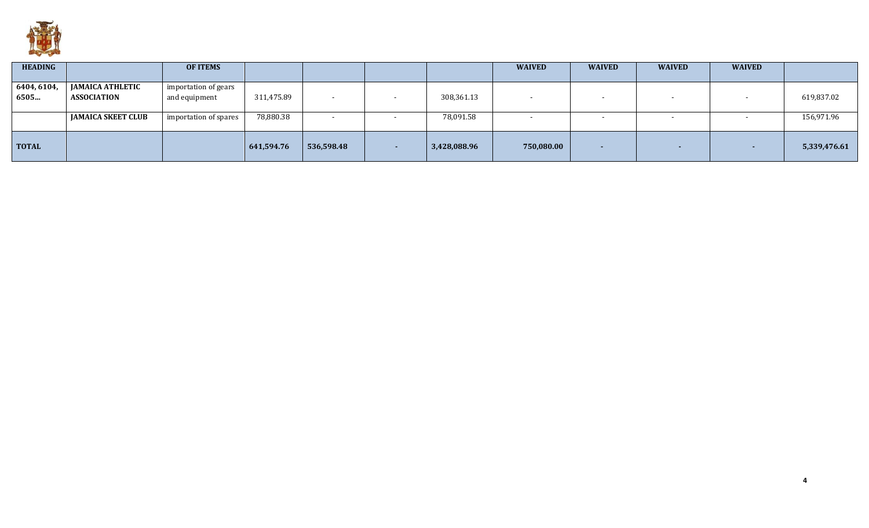

| <b>HEADING</b>      |                                                                            | <b>OF ITEMS</b>                                                |                         |                          |                         | <b>WAIVED</b> | <b>WAIVED</b> | <b>WAIVED</b> | <b>WAIVED</b> |                          |
|---------------------|----------------------------------------------------------------------------|----------------------------------------------------------------|-------------------------|--------------------------|-------------------------|---------------|---------------|---------------|---------------|--------------------------|
| 6404, 6104,<br>6505 | <b>JAMAICA ATHLETIC</b><br><b>ASSOCIATION</b><br><b>JAMAICA SKEET CLUB</b> | importation of gears<br>and equipment<br>importation of spares | 311,475.89<br>78,880.38 | $\overline{\phantom{0}}$ | 308,361.13<br>78,091.58 |               |               |               |               | 619,837.02<br>156,971.96 |
|                     |                                                                            |                                                                |                         |                          |                         |               |               |               |               |                          |
| <b>TOTAL</b>        |                                                                            |                                                                | 641,594.76              | 536,598.48               | 3,428,088.96            | 750,080.00    | ж.            | . —           | $\sim$        | 5,339,476.61             |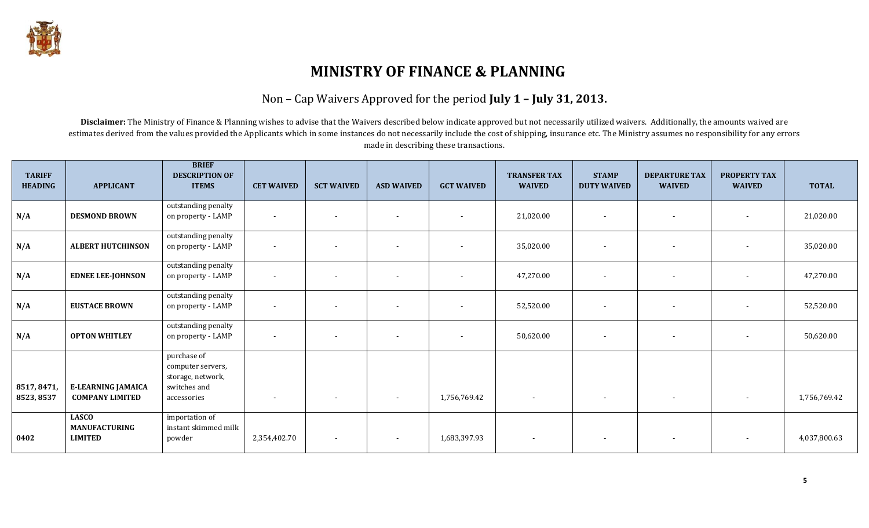

# **MINISTRY OF FINANCE & PLANNING**

#### Non – Cap Waivers Approved for the period **July 1 – July 31, 2013.**

Disclaimer: The Ministry of Finance & Planning wishes to advise that the Waivers described below indicate approved but not necessarily utilized waivers. Additionally, the amounts waived are estimates derived from the values provided the Applicants which in some instances do not necessarily include the cost of shipping, insurance etc. The Ministry assumes no responsibility for any errors made in describing these transactions.

| <b>TARIFF</b><br><b>HEADING</b> | <b>APPLICANT</b>                                       | <b>BRIEF</b><br><b>DESCRIPTION OF</b><br><b>ITEMS</b>                                | <b>CET WAIVED</b>        | <b>SCT WAIVED</b>        | <b>ASD WAIVED</b> | <b>GCT WAIVED</b>        | <b>TRANSFER TAX</b><br><b>WAIVED</b> | <b>STAMP</b><br><b>DUTY WAIVED</b> | <b>DEPARTURE TAX</b><br><b>WAIVED</b> | <b>PROPERTY TAX</b><br><b>WAIVED</b> | <b>TOTAL</b> |
|---------------------------------|--------------------------------------------------------|--------------------------------------------------------------------------------------|--------------------------|--------------------------|-------------------|--------------------------|--------------------------------------|------------------------------------|---------------------------------------|--------------------------------------|--------------|
| N/A                             | <b>DESMOND BROWN</b>                                   | outstanding penalty<br>on property - LAMP                                            | $\blacksquare$           | $\overline{a}$           |                   |                          | 21,020.00                            | $\overline{\phantom{a}}$           | $\overline{\phantom{a}}$              | $\sim$                               | 21,020.00    |
| N/A                             | <b>ALBERT HUTCHINSON</b>                               | outstanding penalty<br>on property - LAMP                                            | $\blacksquare$           |                          |                   |                          | 35,020.00                            | $\sim$                             | $\sim$                                | $\overline{\phantom{a}}$             | 35,020.00    |
| N/A                             | <b>EDNEE LEE-JOHNSON</b>                               | outstanding penalty<br>on property - LAMP                                            | $\overline{\phantom{a}}$ | $\overline{\phantom{a}}$ |                   | $\overline{\phantom{a}}$ | 47,270.00                            | $\sim$                             | $\sim$                                | $\overline{\phantom{a}}$             | 47,270.00    |
| N/A                             | <b>EUSTACE BROWN</b>                                   | outstanding penalty<br>on property - LAMP                                            | $\overline{\phantom{a}}$ |                          |                   |                          | 52,520.00                            | $\sim$                             | $\overline{\phantom{a}}$              | $\overline{\phantom{a}}$             | 52,520.00    |
| N/A                             | <b>OPTON WHITLEY</b>                                   | outstanding penalty<br>on property - LAMP                                            | $\blacksquare$           | $\sim$                   |                   |                          | 50,620.00                            | $\sim$                             | $\sim$                                | $\overline{\phantom{a}}$             | 50,620.00    |
| 8517, 8471,<br>8523, 8537       | <b>E-LEARNING JAMAICA</b><br><b>COMPANY LIMITED</b>    | purchase of<br>computer servers,<br>storage, network,<br>switches and<br>accessories | $\overline{\phantom{a}}$ | $\sim$                   | $\sim$            | 1,756,769.42             | $\sim$                               | $\sim$                             | $\sim$                                | $\overline{\phantom{a}}$             | 1,756,769.42 |
| 0402                            | <b>LASCO</b><br><b>MANUFACTURING</b><br><b>LIMITED</b> | importation of<br>instant skimmed milk<br>powder                                     | 2,354,402.70             | $\sim$                   |                   | 1,683,397.93             |                                      | $\sim$                             | $\overline{\phantom{a}}$              |                                      | 4,037,800.63 |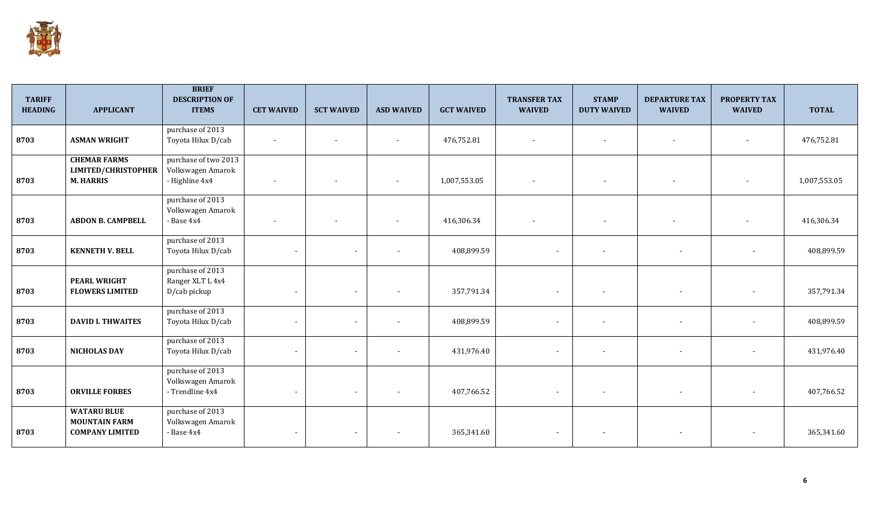

| <b>TARIFF</b><br><b>HEADING</b> | <b>APPLICANT</b>                                                     | <b>BRIEF</b><br><b>DESCRIPTION OF</b><br><b>ITEMS</b>       | <b>CET WAIVED</b>        | <b>SCT WAIVED</b>        | <b>ASD WAIVED</b> | <b>GCT WAIVED</b> | <b>TRANSFER TAX</b><br><b>WAIVED</b> | <b>STAMP</b><br><b>DUTY WAIVED</b> | <b>DEPARTURE TAX</b><br><b>WAIVED</b> | <b>PROPERTY TAX</b><br><b>WAIVED</b> | <b>TOTAL</b> |
|---------------------------------|----------------------------------------------------------------------|-------------------------------------------------------------|--------------------------|--------------------------|-------------------|-------------------|--------------------------------------|------------------------------------|---------------------------------------|--------------------------------------|--------------|
| 8703                            | <b>ASMAN WRIGHT</b>                                                  | purchase of 2013<br>Toyota Hilux D/cab                      | $\overline{a}$           | $\overline{\phantom{0}}$ | $\overline{a}$    | 476,752.81        |                                      | $\overline{a}$                     | $\sim$                                | $\overline{\phantom{a}}$             | 476,752.81   |
| 8703                            | <b>CHEMAR FARMS</b><br>LIMITED/CHRISTOPHER<br><b>M. HARRIS</b>       | purchase of two 2013<br>Volkswagen Amarok<br>- Highline 4x4 | $\sim$                   | $\overline{\phantom{a}}$ |                   | 1,007,553.05      |                                      | $\overline{\phantom{a}}$           | $\overline{\phantom{a}}$              | $\overline{\phantom{a}}$             | 1,007,553.05 |
| 8703                            | <b>ABDON B. CAMPBELL</b>                                             | purchase of 2013<br>Volkswagen Amarok<br>- Base 4x4         |                          |                          |                   | 416,306.34        |                                      | $\overline{\phantom{a}}$           | $\overline{\phantom{a}}$              |                                      | 416,306.34   |
| 8703                            | <b>KENNETH V. BELL</b>                                               | purchase of 2013<br>Toyota Hilux D/cab                      |                          | $\sim$                   |                   | 408,899.59        |                                      | $\overline{\phantom{a}}$           | $\overline{\phantom{a}}$              | $\overline{\phantom{a}}$             | 408,899.59   |
| 8703                            | <b>PEARL WRIGHT</b><br><b>FLOWERS LIMITED</b>                        | purchase of 2013<br>Ranger XLT L 4x4<br>D/cab pickup        | $\overline{\phantom{a}}$ | $\sim$                   |                   | 357,791.34        |                                      |                                    | $\overline{\phantom{a}}$              | $\blacksquare$                       | 357,791.34   |
| 8703                            | <b>DAVID I. THWAITES</b>                                             | purchase of 2013<br>Toyota Hilux D/cab                      |                          | $\sim$                   |                   | 408,899.59        | $\blacksquare$                       |                                    |                                       | $\overline{\phantom{a}}$             | 408,899.59   |
| 8703                            | <b>NICHOLAS DAY</b>                                                  | purchase of 2013<br>Toyota Hilux D/cab                      | $\blacksquare$           | $\sim$                   |                   | 431,976.40        | $\sim$                               | $\overline{\phantom{a}}$           | $\overline{\phantom{a}}$              | $\overline{\phantom{a}}$             | 431,976.40   |
| 8703                            | <b>ORVILLE FORBES</b>                                                | purchase of 2013<br>Volkswagen Amarok<br>- Trendline 4x4    | $\overline{\phantom{a}}$ | $\sim$                   |                   | 407,766.52        | $\sim$                               |                                    |                                       | $\overline{\phantom{a}}$             | 407,766.52   |
| 8703                            | <b>WATARU BLUE</b><br><b>MOUNTAIN FARM</b><br><b>COMPANY LIMITED</b> | purchase of 2013<br>Volkswagen Amarok<br>- Base 4x4         |                          | $\sim$                   |                   | 365,341.60        | $\sim$                               |                                    | $\overline{\phantom{a}}$              | $\overline{\phantom{a}}$             | 365,341.60   |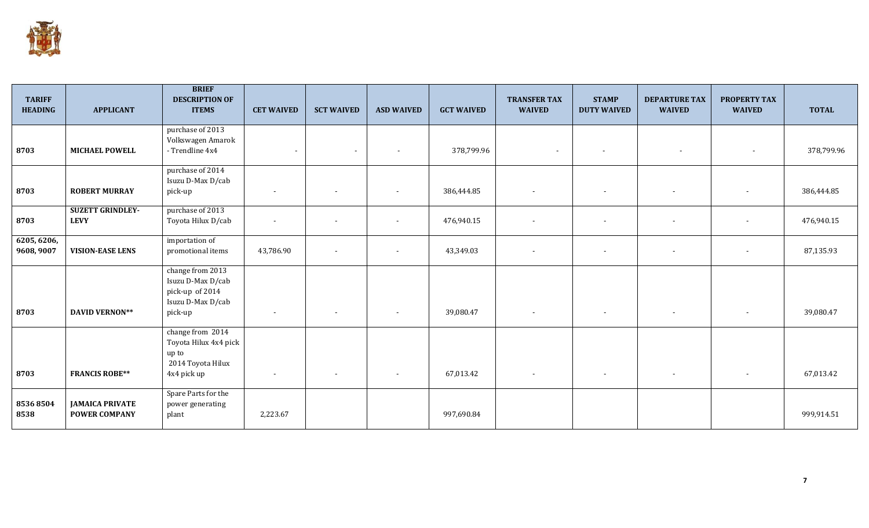

| <b>TARIFF</b><br><b>HEADING</b> | <b>APPLICANT</b>                               | <b>BRIEF</b><br><b>DESCRIPTION OF</b><br><b>ITEMS</b>                                    | <b>CET WAIVED</b>        | <b>SCT WAIVED</b>        | <b>ASD WAIVED</b>        | <b>GCT WAIVED</b> | <b>TRANSFER TAX</b><br><b>WAIVED</b> | <b>STAMP</b><br><b>DUTY WAIVED</b> | <b>DEPARTURE TAX</b><br><b>WAIVED</b> | <b>PROPERTY TAX</b><br><b>WAIVED</b> | <b>TOTAL</b> |
|---------------------------------|------------------------------------------------|------------------------------------------------------------------------------------------|--------------------------|--------------------------|--------------------------|-------------------|--------------------------------------|------------------------------------|---------------------------------------|--------------------------------------|--------------|
| 8703                            | <b>MICHAEL POWELL</b>                          | purchase of 2013<br>Volkswagen Amarok<br>- Trendline 4x4                                 | $\overline{\phantom{a}}$ | $\sim$                   | $\overline{\phantom{a}}$ | 378,799.96        | ٠                                    | $\overline{\phantom{a}}$           | $\overline{\phantom{a}}$              | $\sim$                               | 378,799.96   |
| 8703                            | <b>ROBERT MURRAY</b>                           | purchase of 2014<br>Isuzu D-Max D/cab<br>pick-up                                         |                          | $\overline{\phantom{a}}$ | $\overline{\phantom{a}}$ | 386,444.85        |                                      | $\overline{\phantom{a}}$           | $\overline{\phantom{a}}$              | $\overline{\phantom{a}}$             | 386,444.85   |
| 8703                            | <b>SUZETT GRINDLEY-</b><br><b>LEVY</b>         | purchase of 2013<br>Toyota Hilux D/cab                                                   | $\overline{a}$           | $\overline{\phantom{a}}$ | $\overline{\phantom{a}}$ | 476,940.15        |                                      | $\sim$                             | $\overline{\phantom{a}}$              | $\sim$                               | 476,940.15   |
| 6205, 6206,<br>9608, 9007       | <b>VISION-EASE LENS</b>                        | importation of<br>promotional items                                                      | 43,786.90                | $\sim$                   | $\overline{\phantom{a}}$ | 43,349.03         |                                      | $\overline{\phantom{a}}$           | $\overline{\phantom{a}}$              | $\overline{\phantom{a}}$             | 87,135.93    |
| 8703                            | <b>DAVID VERNON**</b>                          | change from 2013<br>Isuzu D-Max D/cab<br>pick-up of 2014<br>Isuzu D-Max D/cab<br>pick-up |                          |                          | $\overline{\phantom{a}}$ | 39,080.47         |                                      | $\overline{\phantom{a}}$           | $\overline{\phantom{a}}$              | $\sim$                               | 39,080.47    |
| 8703                            | <b>FRANCIS ROBE**</b>                          | change from 2014<br>Toyota Hilux 4x4 pick<br>up to<br>2014 Toyota Hilux<br>4x4 pick up   |                          | $\overline{\phantom{a}}$ |                          | 67,013.42         |                                      |                                    | $\overline{\phantom{a}}$              |                                      | 67,013.42    |
| 85368504<br>8538                | <b>JAMAICA PRIVATE</b><br><b>POWER COMPANY</b> | Spare Parts for the<br>power generating<br>plant                                         | 2,223.67                 |                          |                          | 997,690.84        |                                      |                                    |                                       |                                      | 999,914.51   |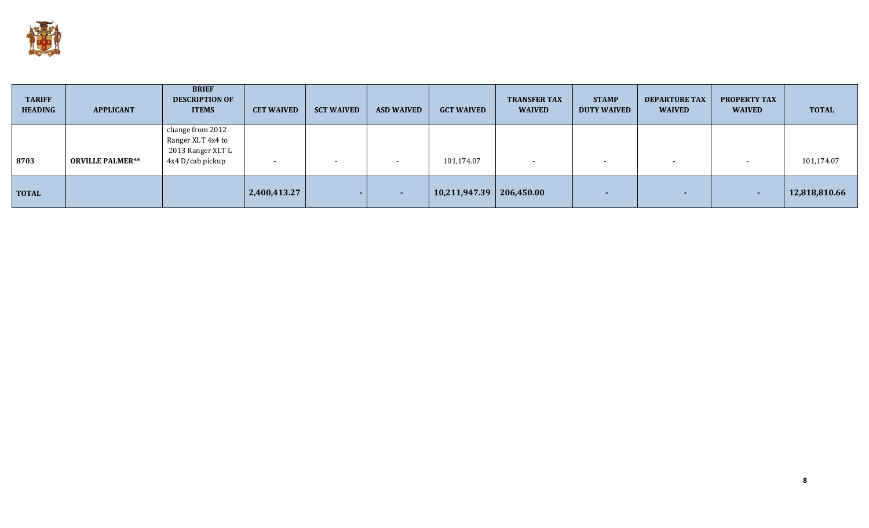

| <b>TARIFF</b><br><b>HEADING</b> | <b>APPLICANT</b>        | <b>BRIEF</b><br><b>DESCRIPTION OF</b><br><b>ITEMS</b>                          | <b>CET WAIVED</b> | <b>SCT WAIVED</b>        | <b>ASD WAIVED</b>        | <b>GCT WAIVED</b>            | <b>TRANSFER TAX</b><br><b>WAIVED</b> | <b>STAMP</b><br><b>DUTY WAIVED</b> | <b>DEPARTURE TAX</b><br><b>WAIVED</b> | <b>PROPERTY TAX</b><br><b>WAIVED</b> | <b>TOTAL</b>  |
|---------------------------------|-------------------------|--------------------------------------------------------------------------------|-------------------|--------------------------|--------------------------|------------------------------|--------------------------------------|------------------------------------|---------------------------------------|--------------------------------------|---------------|
| 8703                            | <b>ORVILLE PALMER**</b> | change from 2012<br>Ranger XLT 4x4 to<br>2013 Ranger XLT L<br>4x4 D/cab pickup |                   | $\overline{\phantom{a}}$ | $\blacksquare$           | 101,174.07                   | -                                    | $\overline{\phantom{a}}$           | $\overline{\phantom{a}}$              |                                      | 101,174.07    |
| <b>TOTAL</b>                    |                         |                                                                                | 2,400,413.27      |                          | $\overline{\phantom{a}}$ | $10,211,947.39$   206,450.00 |                                      |                                    |                                       |                                      | 12,818,810.66 |